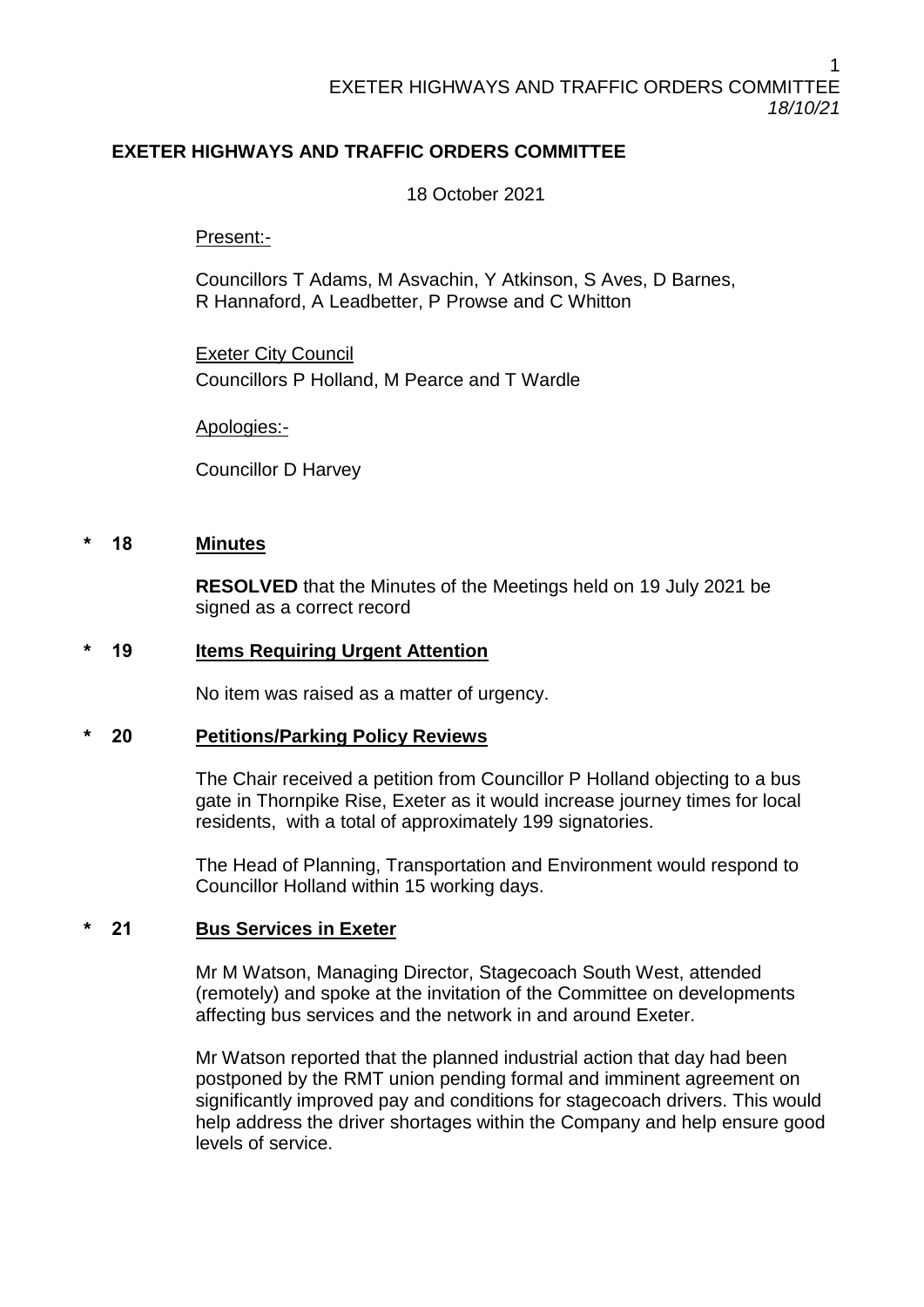# **EXETER HIGHWAYS AND TRAFFIC ORDERS COMMITTEE**

18 October 2021

Present:-

Councillors T Adams, M Asvachin, Y Atkinson, S Aves, D Barnes, R Hannaford, A Leadbetter, P Prowse and C Whitton

Exeter City Council Councillors P Holland, M Pearce and T Wardle

Apologies:-

Councillor D Harvey

#### **\* 18 Minutes**

**RESOLVED** that the Minutes of the Meetings held on 19 July 2021 be signed as a correct record

#### **\* 19 Items Requiring Urgent Attention**

No item was raised as a matter of urgency.

#### **\* 20 Petitions/Parking Policy Reviews**

The Chair received a petition from Councillor P Holland objecting to a bus gate in Thornpike Rise, Exeter as it would increase journey times for local residents, with a total of approximately 199 signatories.

The Head of Planning, Transportation and Environment would respond to Councillor Holland within 15 working days.

## **\* 21 Bus Services in Exeter**

Mr M Watson, Managing Director, Stagecoach South West, attended (remotely) and spoke at the invitation of the Committee on developments affecting bus services and the network in and around Exeter.

Mr Watson reported that the planned industrial action that day had been postponed by the RMT union pending formal and imminent agreement on significantly improved pay and conditions for stagecoach drivers. This would help address the driver shortages within the Company and help ensure good levels of service.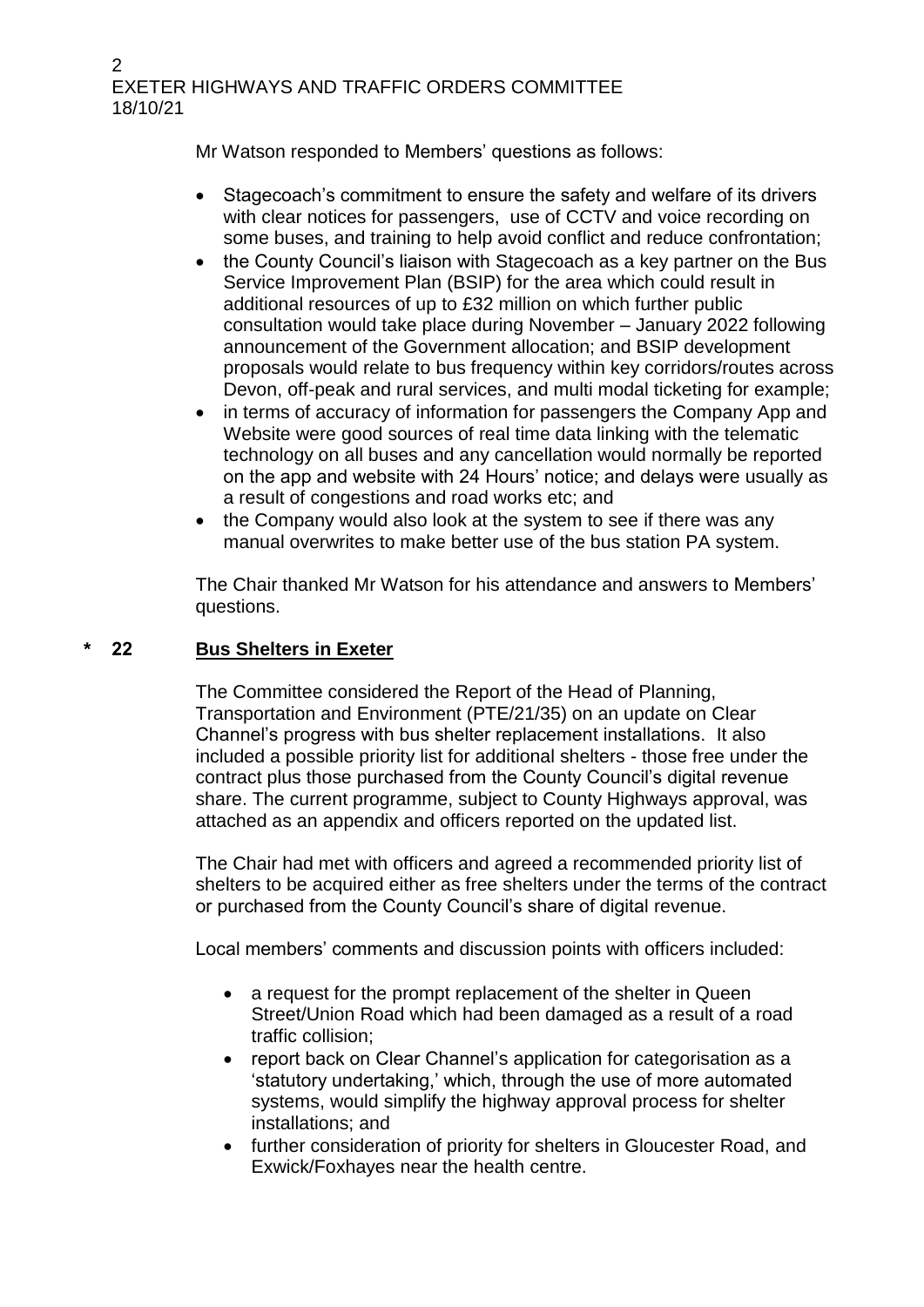2 EXETER HIGHWAYS AND TRAFFIC ORDERS COMMITTEE 18/10/21

Mr Watson responded to Members' questions as follows:

- Stagecoach's commitment to ensure the safety and welfare of its drivers with clear notices for passengers, use of CCTV and voice recording on some buses, and training to help avoid conflict and reduce confrontation;
- the County Council's liaison with Stagecoach as a key partner on the Bus Service Improvement Plan (BSIP) for the area which could result in additional resources of up to £32 million on which further public consultation would take place during November – January 2022 following announcement of the Government allocation; and BSIP development proposals would relate to bus frequency within key corridors/routes across Devon, off-peak and rural services, and multi modal ticketing for example;
- in terms of accuracy of information for passengers the Company App and Website were good sources of real time data linking with the telematic technology on all buses and any cancellation would normally be reported on the app and website with 24 Hours' notice; and delays were usually as a result of congestions and road works etc; and
- the Company would also look at the system to see if there was any manual overwrites to make better use of the bus station PA system.

The Chair thanked Mr Watson for his attendance and answers to Members' questions.

## **\* 22 Bus Shelters in Exeter**

The Committee considered the Report of the Head of Planning, Transportation and Environment (PTE/21/35) on an update on Clear Channel's progress with bus shelter replacement installations. It also included a possible priority list for additional shelters - those free under the contract plus those purchased from the County Council's digital revenue share. The current programme, subject to County Highways approval, was attached as an appendix and officers reported on the updated list.

The Chair had met with officers and agreed a recommended priority list of shelters to be acquired either as free shelters under the terms of the contract or purchased from the County Council's share of digital revenue.

Local members' comments and discussion points with officers included:

- a request for the prompt replacement of the shelter in Queen Street/Union Road which had been damaged as a result of a road traffic collision;
- report back on Clear Channel's application for categorisation as a 'statutory undertaking,' which, through the use of more automated systems, would simplify the highway approval process for shelter installations; and
- further consideration of priority for shelters in Gloucester Road, and Exwick/Foxhayes near the health centre.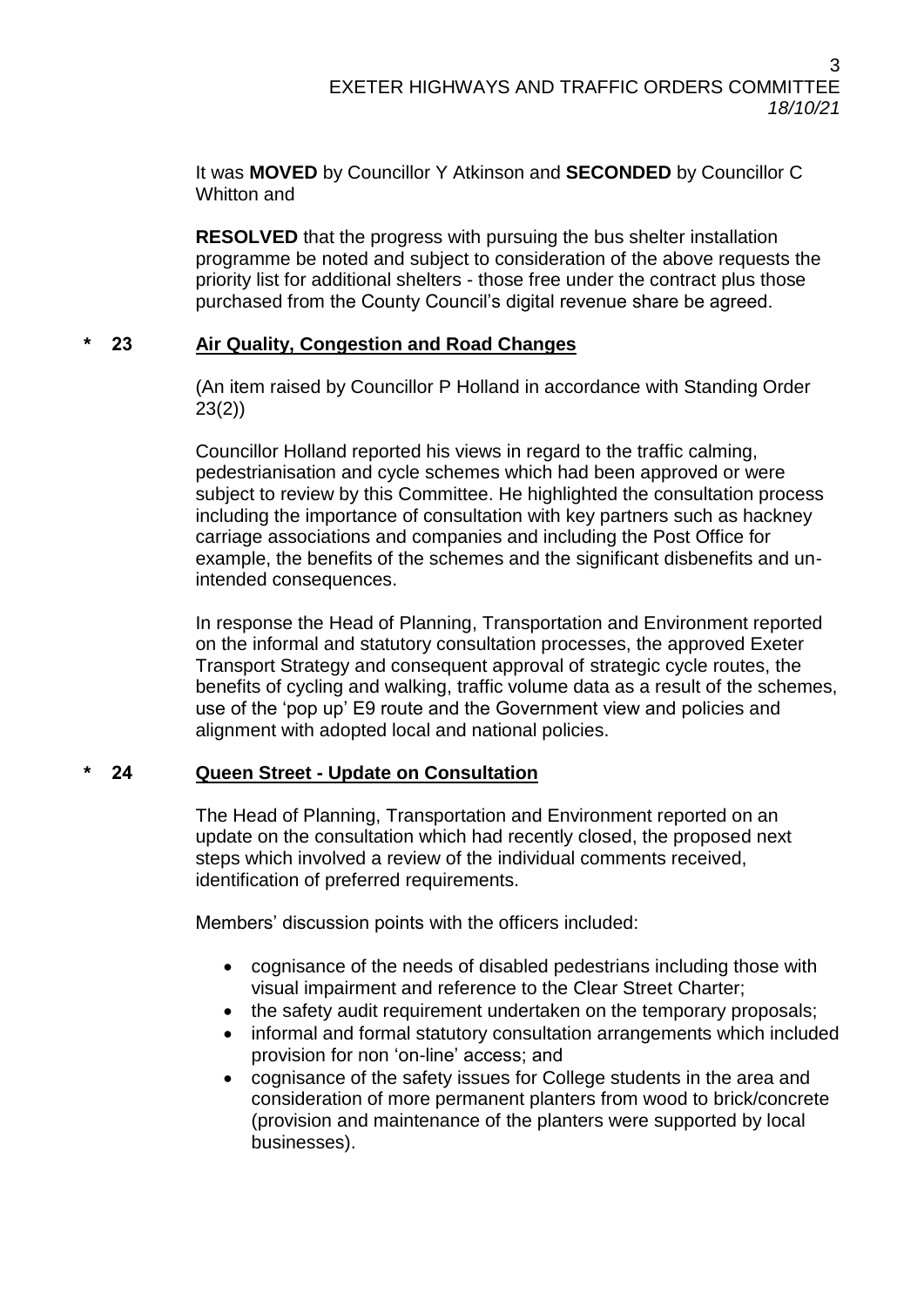It was **MOVED** by Councillor Y Atkinson and **SECONDED** by Councillor C Whitton and

**RESOLVED** that the progress with pursuing the bus shelter installation programme be noted and subject to consideration of the above requests the priority list for additional shelters - those free under the contract plus those purchased from the County Council's digital revenue share be agreed.

# **\* 23 Air Quality, Congestion and Road Changes**

(An item raised by Councillor P Holland in accordance with Standing Order 23(2))

Councillor Holland reported his views in regard to the traffic calming, pedestrianisation and cycle schemes which had been approved or were subject to review by this Committee. He highlighted the consultation process including the importance of consultation with key partners such as hackney carriage associations and companies and including the Post Office for example, the benefits of the schemes and the significant disbenefits and unintended consequences.

In response the Head of Planning, Transportation and Environment reported on the informal and statutory consultation processes, the approved Exeter Transport Strategy and consequent approval of strategic cycle routes, the benefits of cycling and walking, traffic volume data as a result of the schemes, use of the 'pop up' E9 route and the Government view and policies and alignment with adopted local and national policies.

# **\* 24 Queen Street - Update on Consultation**

The Head of Planning, Transportation and Environment reported on an update on the consultation which had recently closed, the proposed next steps which involved a review of the individual comments received, identification of preferred requirements.

Members' discussion points with the officers included:

- cognisance of the needs of disabled pedestrians including those with visual impairment and reference to the Clear Street Charter;
- the safety audit requirement undertaken on the temporary proposals;
- informal and formal statutory consultation arrangements which included provision for non 'on-line' access; and
- cognisance of the safety issues for College students in the area and consideration of more permanent planters from wood to brick/concrete (provision and maintenance of the planters were supported by local businesses).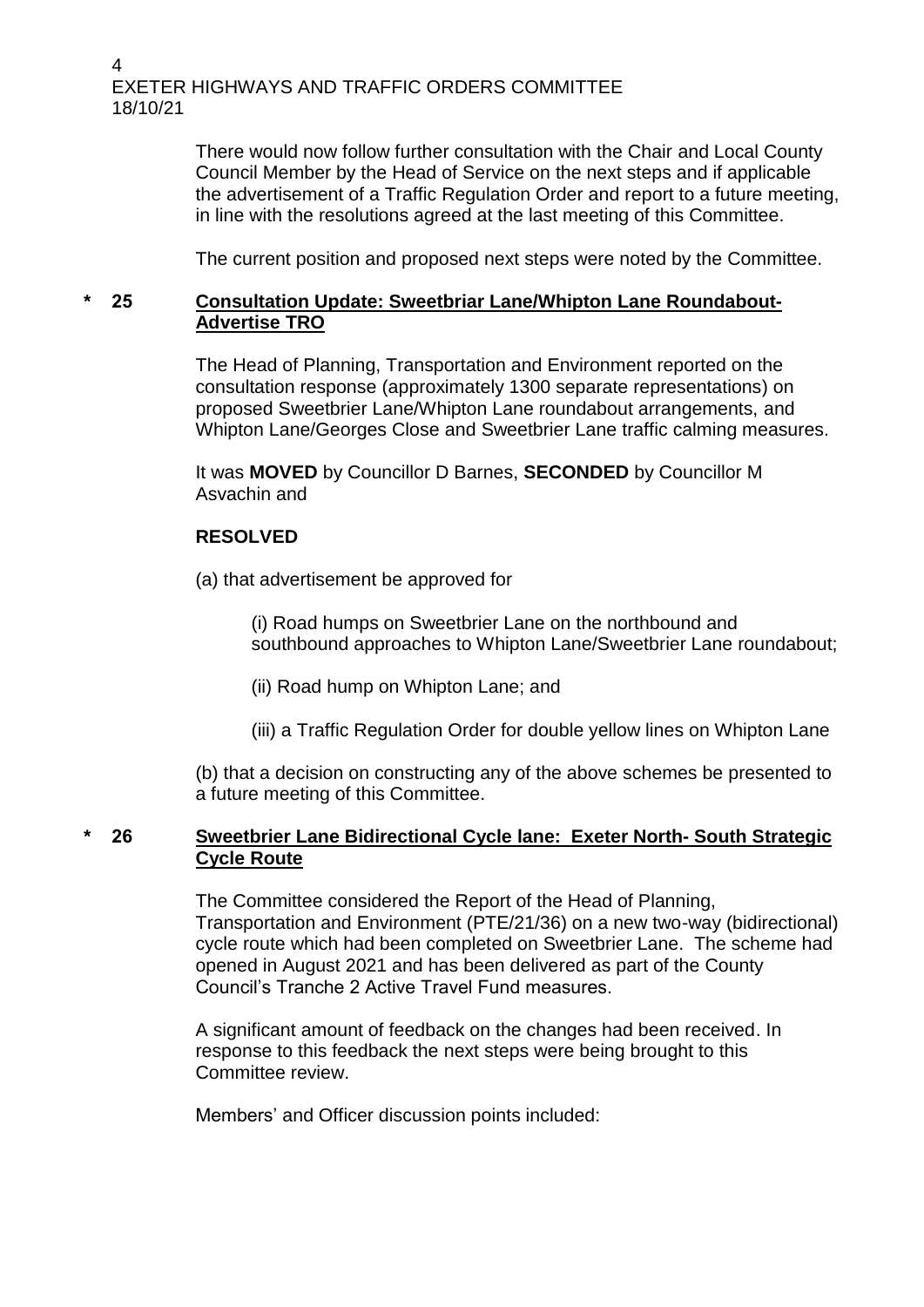EXETER HIGHWAYS AND TRAFFIC ORDERS COMMITTEE 18/10/21

> There would now follow further consultation with the Chair and Local County Council Member by the Head of Service on the next steps and if applicable the advertisement of a Traffic Regulation Order and report to a future meeting, in line with the resolutions agreed at the last meeting of this Committee.

The current position and proposed next steps were noted by the Committee.

## **\* 25 Consultation Update: Sweetbriar Lane/Whipton Lane Roundabout-Advertise TRO**

The Head of Planning, Transportation and Environment reported on the consultation response (approximately 1300 separate representations) on proposed Sweetbrier Lane/Whipton Lane roundabout arrangements, and Whipton Lane/Georges Close and Sweetbrier Lane traffic calming measures.

It was **MOVED** by Councillor D Barnes, **SECONDED** by Councillor M Asvachin and

## **RESOLVED**

(a) that advertisement be approved for

(i) Road humps on Sweetbrier Lane on the northbound and southbound approaches to Whipton Lane/Sweetbrier Lane roundabout;

(ii) Road hump on Whipton Lane; and

(iii) a Traffic Regulation Order for double yellow lines on Whipton Lane

(b) that a decision on constructing any of the above schemes be presented to a future meeting of this Committee.

## **\* 26 Sweetbrier Lane Bidirectional Cycle lane: Exeter North- South Strategic Cycle Route**

The Committee considered the Report of the Head of Planning, Transportation and Environment (PTE/21/36) on a new two-way (bidirectional) cycle route which had been completed on Sweetbrier Lane. The scheme had opened in August 2021 and has been delivered as part of the County Council's Tranche 2 Active Travel Fund measures.

A significant amount of feedback on the changes had been received. In response to this feedback the next steps were being brought to this Committee review.

Members' and Officer discussion points included:

4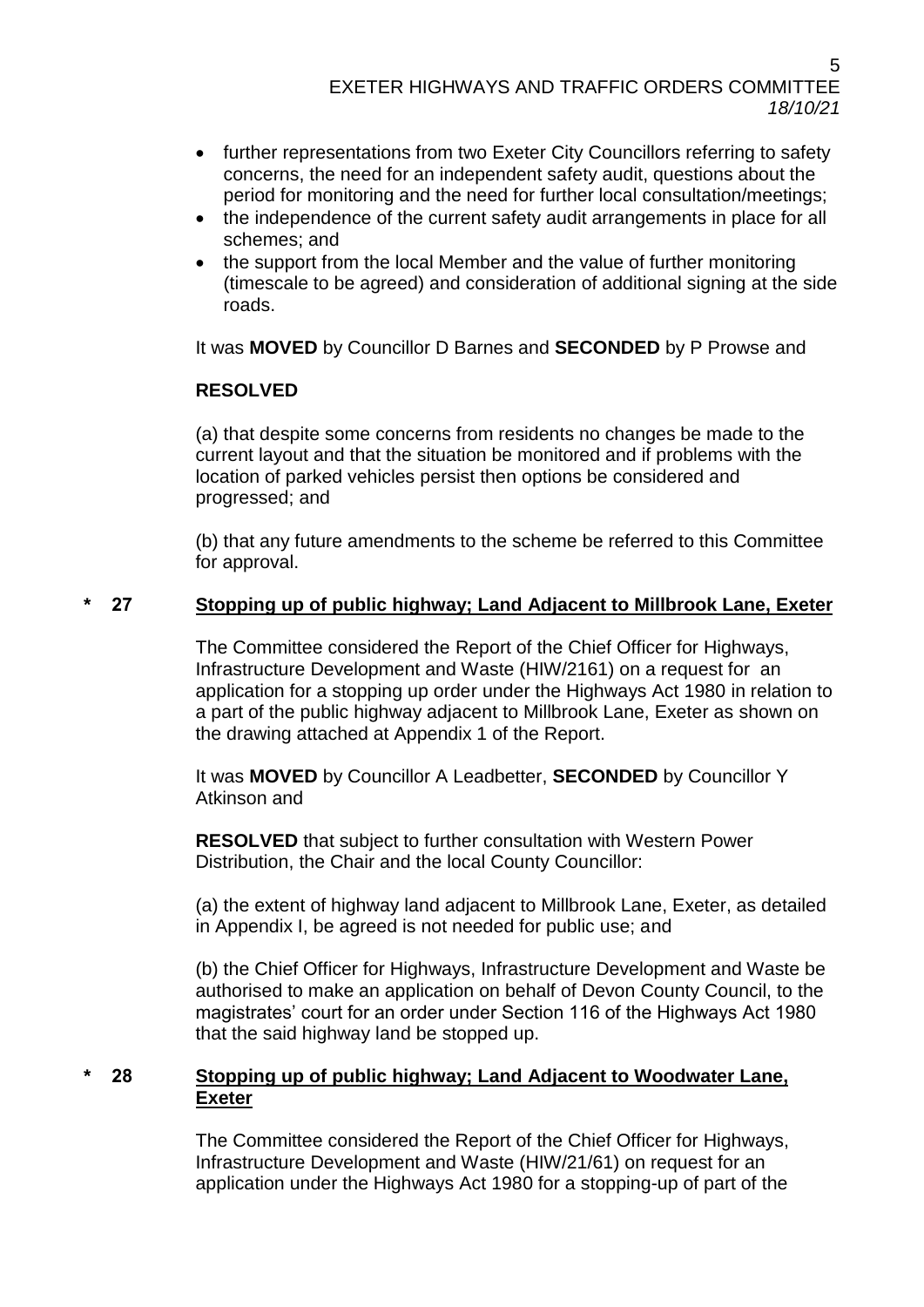- further representations from two Exeter City Councillors referring to safety concerns, the need for an independent safety audit, questions about the period for monitoring and the need for further local consultation/meetings;
- the independence of the current safety audit arrangements in place for all schemes; and
- the support from the local Member and the value of further monitoring (timescale to be agreed) and consideration of additional signing at the side roads.

It was **MOVED** by Councillor D Barnes and **SECONDED** by P Prowse and

# **RESOLVED**

(a) that despite some concerns from residents no changes be made to the current layout and that the situation be monitored and if problems with the location of parked vehicles persist then options be considered and progressed; and

(b) that any future amendments to the scheme be referred to this Committee for approval.

# **\* 27 Stopping up of public highway; Land Adjacent to Millbrook Lane, Exeter**

The Committee considered the Report of the Chief Officer for Highways, Infrastructure Development and Waste (HIW/2161) on a request for an application for a stopping up order under the Highways Act 1980 in relation to a part of the public highway adjacent to Millbrook Lane, Exeter as shown on the drawing attached at Appendix 1 of the Report.

It was **MOVED** by Councillor A Leadbetter, **SECONDED** by Councillor Y Atkinson and

**RESOLVED** that subject to further consultation with Western Power Distribution, the Chair and the local County Councillor:

(a) the extent of highway land adjacent to Millbrook Lane, Exeter, as detailed in Appendix I, be agreed is not needed for public use; and

(b) the Chief Officer for Highways, Infrastructure Development and Waste be authorised to make an application on behalf of Devon County Council, to the magistrates' court for an order under Section 116 of the Highways Act 1980 that the said highway land be stopped up.

## **\* 28 Stopping up of public highway; Land Adjacent to Woodwater Lane, Exeter**

The Committee considered the Report of the Chief Officer for Highways, Infrastructure Development and Waste (HIW/21/61) on request for an application under the Highways Act 1980 for a stopping-up of part of the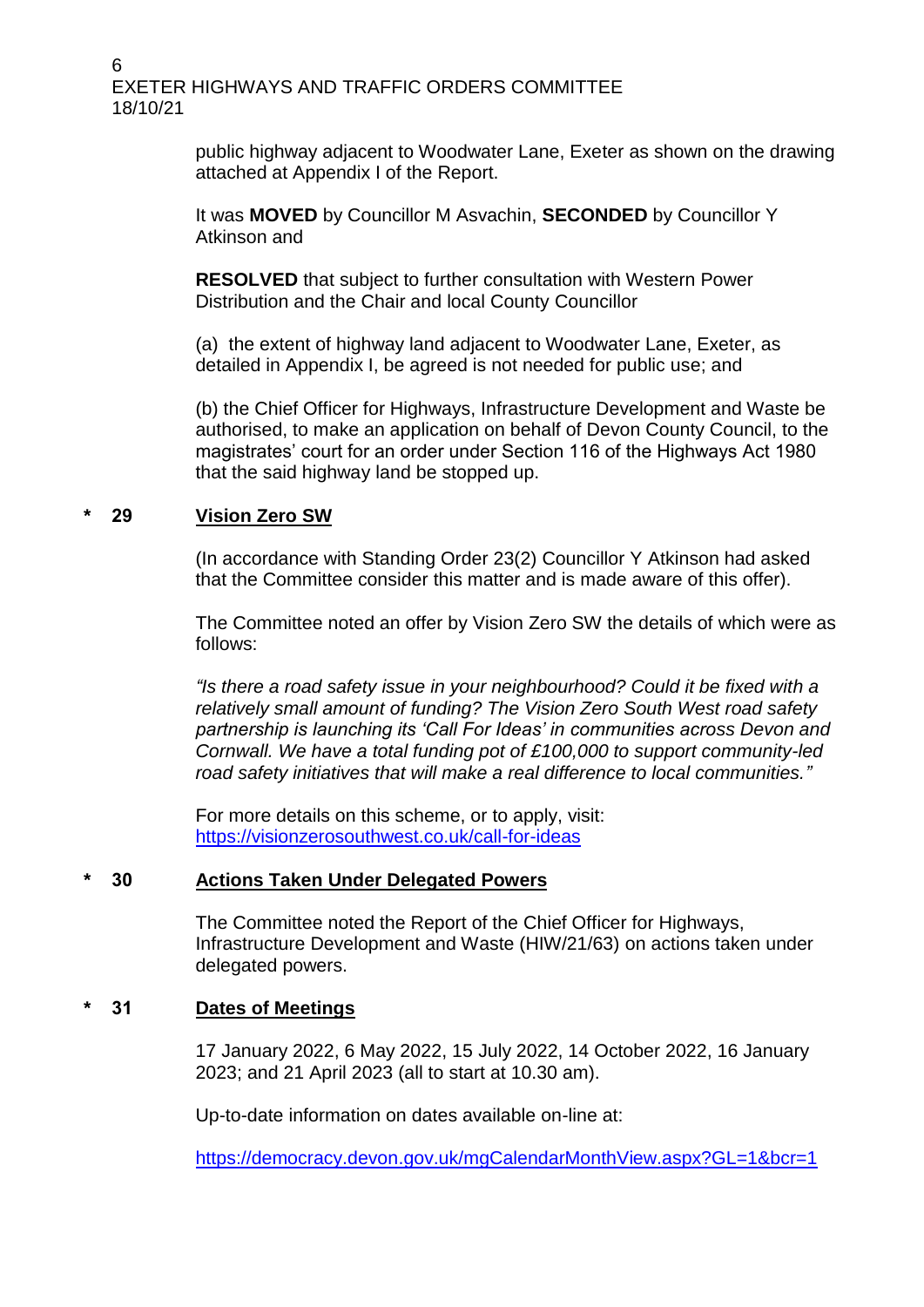6 EXETER HIGHWAYS AND TRAFFIC ORDERS COMMITTEE 18/10/21

> public highway adjacent to Woodwater Lane, Exeter as shown on the drawing attached at Appendix I of the Report.

It was **MOVED** by Councillor M Asvachin, **SECONDED** by Councillor Y Atkinson and

**RESOLVED** that subject to further consultation with Western Power Distribution and the Chair and local County Councillor

(a) the extent of highway land adjacent to Woodwater Lane, Exeter, as detailed in Appendix I, be agreed is not needed for public use; and

(b) the Chief Officer for Highways, Infrastructure Development and Waste be authorised, to make an application on behalf of Devon County Council, to the magistrates' court for an order under Section 116 of the Highways Act 1980 that the said highway land be stopped up.

## **\* 29 Vision Zero SW**

(In accordance with Standing Order 23(2) Councillor Y Atkinson had asked that the Committee consider this matter and is made aware of this offer).

The Committee noted an offer by Vision Zero SW the details of which were as follows:

*"Is there a road safety issue in your neighbourhood? Could it be fixed with a relatively small amount of funding? The Vision Zero South West road safety partnership is launching its 'Call For Ideas' in communities across Devon and Cornwall. We have a total funding pot of £100,000 to support community-led road safety initiatives that will make a real difference to local communities."*

For more details on this scheme, or to apply, visit: <https://visionzerosouthwest.co.uk/call-for-ideas>

#### **\* 30 Actions Taken Under Delegated Powers**

The Committee noted the Report of the Chief Officer for Highways, Infrastructure Development and Waste (HIW/21/63) on actions taken under delegated powers.

#### **\* 31 Dates of Meetings**

17 January 2022, 6 May 2022, 15 July 2022, 14 October 2022, 16 January 2023; and 21 April 2023 (all to start at 10.30 am).

Up-to-date information on dates available on-line at:

<https://democracy.devon.gov.uk/mgCalendarMonthView.aspx?GL=1&bcr=1>